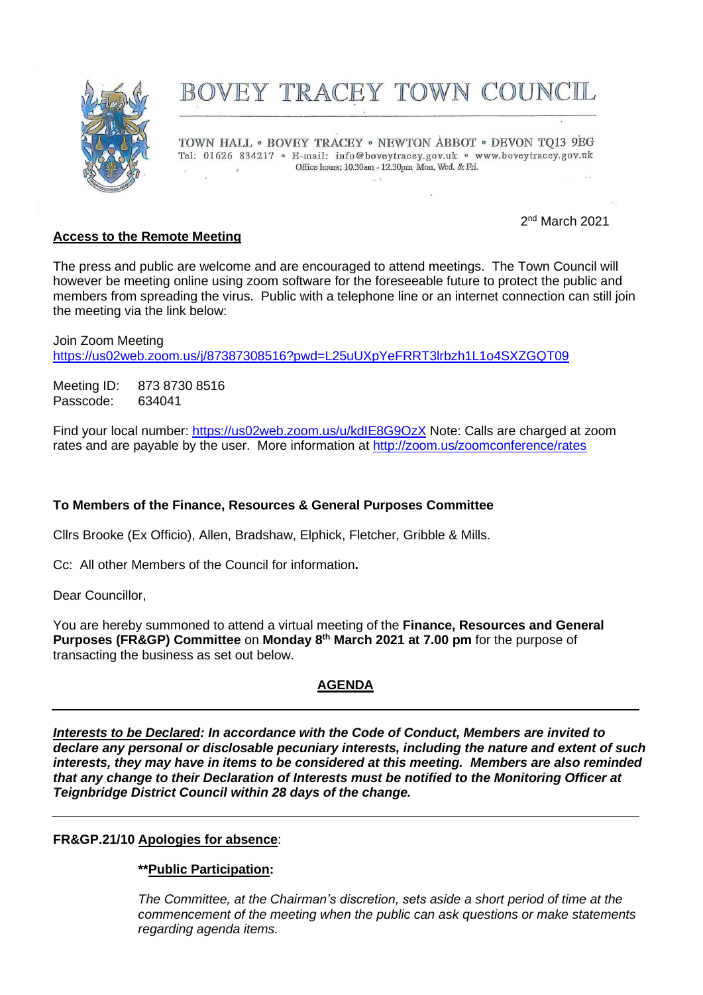

# BOVEY TRACEY TOWN COUNCIL

TOWN HALL . BOVEY TRACEY . NEWTON ABBOT . DEVON TQ13 9EG Tel: 01626 834217 · E-mail: info@boveytracey.gov.uk · www.boveytracey.gov.uk Office hours: 10.30am - 12.30pm Mon. Wed. & Fri.  $\mathcal{L}$ 

## **Access to the Remote Meeting**

2<sup>nd</sup> March 2021

The press and public are welcome and are encouraged to attend meetings. The Town Council will however be meeting online using zoom software for the foreseeable future to protect the public and members from spreading the virus. Public with a telephone line or an internet connection can still join the meeting via the link below:

Join Zoom Meeting <https://us02web.zoom.us/j/87387308516?pwd=L25uUXpYeFRRT3lrbzh1L1o4SXZGQT09>

Meeting ID: 873 8730 8516 Passcode: 634041

Find your local number:<https://us02web.zoom.us/u/kdIE8G9OzX> Note: Calls are charged at zoom rates and are payable by the user. More information at<http://zoom.us/zoomconference/rates>

## **To Members of the Finance, Resources & General Purposes Committee**

Cllrs Brooke (Ex Officio), Allen, Bradshaw, Elphick, Fletcher, Gribble & Mills.

Cc: All other Members of the Council for information**.**

Dear Councillor,

You are hereby summoned to attend a virtual meeting of the **Finance, Resources and General Purposes (FR&GP) Committee** on **Monday 8 th March 2021 at 7.00 pm** for the purpose of transacting the business as set out below.

## **AGENDA**

*Interests to be Declared: In accordance with the Code of Conduct, Members are invited to declare any personal or disclosable pecuniary interests, including the nature and extent of such interests, they may have in items to be considered at this meeting. Members are also reminded that any change to their Declaration of Interests must be notified to the Monitoring Officer at Teignbridge District Council within 28 days of the change.*

## **FR&GP.21/10 Apologies for absence**:

## **\*\*Public Participation:**

*The Committee, at the Chairman's discretion, sets aside a short period of time at the commencement of the meeting when the public can ask questions or make statements regarding agenda items.*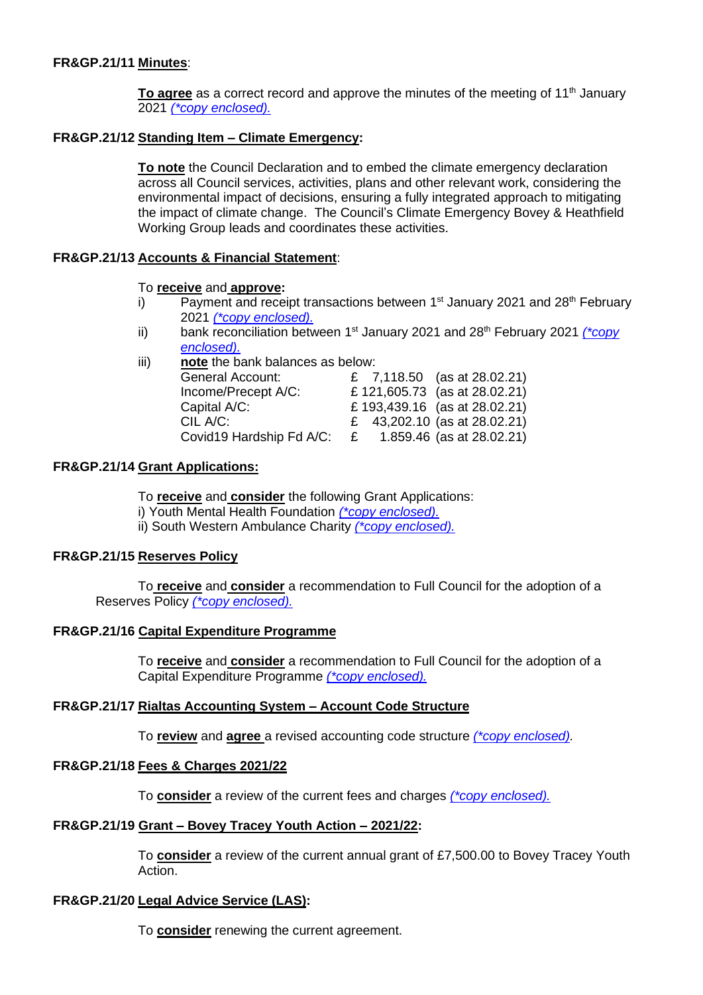## **FR&GP.21/11 Minutes**:

**To agree** as a correct record and approve the minutes of the meeting of 11<sup>th</sup> January 2021 *[\(\\*copy enclosed\).](https://www.dropbox.com/s/7tqxghnvcjcuqh2/08.03.21%20-%20Mins%20of%20FR%26GP%20Committee%20Meeting%2011.01.21.doc?dl=0)*

## **FR&GP.21/12 Standing Item – Climate Emergency:**

**To note** the Council Declaration and to embed the climate emergency declaration across all Council services, activities, plans and other relevant work, considering the environmental impact of decisions, ensuring a fully integrated approach to mitigating the impact of climate change. The Council's Climate Emergency Bovey & Heathfield Working Group leads and coordinates these activities.

## **FR&GP.21/13 Accounts & Financial Statement**:

#### To **receive** and **approve:**

- i) Payment and receipt transactions between  $1<sup>st</sup>$  January 2021 and 28<sup>th</sup> February 2021 *[\(\\*copy enclosed\).](https://www.dropbox.com/s/rvy7jm7b8vyypgf/08.03.21%20-%20Payment%20%26%20Receipt%20Transactions%201st%20Jan%20-%2028th%20Feb%202021.pdf?dl=0)*
- ii) bank reconciliation between 1<sup>st</sup> January 2021 and 28<sup>th</sup> February 2021 (*\*copy [enclosed\).](https://www.dropbox.com/s/9fzwjst29y4yii4/08.03.21%20-%20Cash%20%26%20Investment%20Reconcilliation%20Report%20as%20at%2028th%20February%202021.pdf?dl=0)*
- iii) **note** the bank balances as below:

| <b>General Account:</b>  | £ 7,118.50 (as at 28.02.21)     |
|--------------------------|---------------------------------|
| Income/Precept A/C:      | £ 121,605.73 (as at 28.02.21)   |
| Capital A/C:             | £ 193,439.16 (as at 28.02.21)   |
| CIL A/C:                 | £ 43,202.10 (as at $28.02.21$ ) |
| Covid19 Hardship Fd A/C: | 1.859.46 (as at 28.02.21)<br>£  |

## **FR&GP.21/14 Grant Applications:**

To **receive** and **consider** the following Grant Applications: i) Youth Mental Health Foundation *[\(\\*copy enclosed\).](https://www.dropbox.com/s/57zu7cz16966igg/08.03.21%20-%20Bovey%20Tracey%20Grant%20Application%20-%20Youth%20Mental%20Health%20Foundation.pdf?dl=0)* ii) South Western Ambulance Charity *[\(\\*copy enclosed\).](https://www.dropbox.com/s/7tm2iy33hlq7m34/08.03.21%20-%20Bovey%20Tracey%20Grant%20Application%20-%20South%20Western%20Ambulance%20Service.pdf?dl=0)*

## **FR&GP.21/15 Reserves Policy**

To **receive** and **consider** a recommendation to Full Council for the adoption of a Reserves Policy *[\(\\*copy enclosed\).](https://www.dropbox.com/s/hwnor9yzxailpq7/08.03.21%20-%20Reserves%20Policy%20%28DRAFT%29.docx?dl=0)*

## **FR&GP.21/16 Capital Expenditure Programme**

To **receive** and **consider** a recommendation to Full Council for the adoption of a Capital Expenditure Programme *[\(\\*copy enclosed\).](https://www.dropbox.com/s/p1oyz4mdz20k2ae/08.03.21%20-%20Capital%20Expenditure%20Programme%202021%20and%20beyond%20%28DRAFT%29.xlsx?dl=0)*

#### **FR&GP.21/17 Rialtas Accounting System – Account Code Structure**

To **review** and **agree** a revised accounting code structure *[\(\\*copy enclosed\).](https://www.dropbox.com/s/6zc03f4lscq6kl6/08.03.21%20-%20List%20of%20Nominal%20Codes.PDF?dl=0)*

#### **FR&GP.21/18 Fees & Charges 2021/22**

To **consider** a review of the current fees and charges *[\(\\*copy enclosed\).](https://www.dropbox.com/s/8czb4l9zfhl8xs2/08.03.21%20-%20Fees%20and%20Charges%20Review%20for%202021-2022%20with%20comparisons%20and%20costs.docx?dl=0)*

## **FR&GP.21/19 Grant – Bovey Tracey Youth Action – 2021/22:**

To **consider** a review of the current annual grant of £7,500.00 to Bovey Tracey Youth Action.

#### **FR&GP.21/20 Legal Advice Service (LAS):**

To **consider** renewing the current agreement.